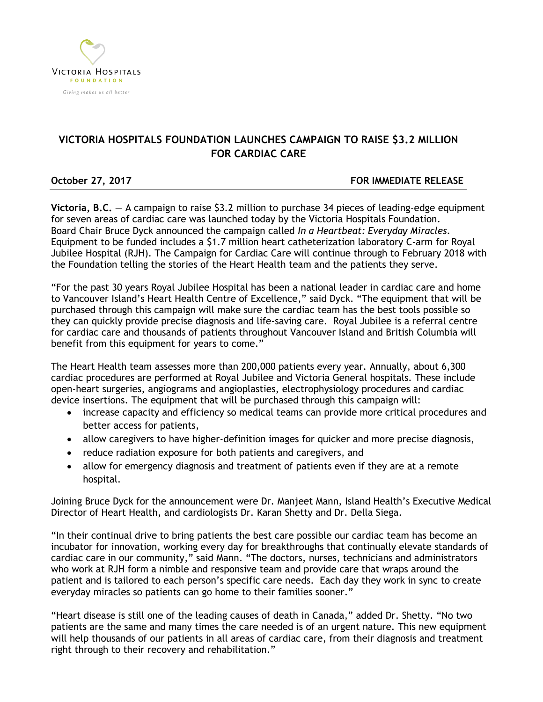

# **VICTORIA HOSPITALS FOUNDATION LAUNCHES CAMPAIGN TO RAISE \$3.2 MILLION FOR CARDIAC CARE**

# **October 27, 2017 FOR IMMEDIATE RELEASE**

**Victoria, B.C.** — A campaign to raise \$3.2 million to purchase 34 pieces of leading-edge equipment for seven areas of cardiac care was launched today by the Victoria Hospitals Foundation. Board Chair Bruce Dyck announced the campaign called *In a Heartbeat: Everyday Miracles*. Equipment to be funded includes a \$1.7 million heart catheterization laboratory C-arm for Royal Jubilee Hospital (RJH). The Campaign for Cardiac Care will continue through to February 2018 with the Foundation telling the stories of the Heart Health team and the patients they serve.

"For the past 30 years Royal Jubilee Hospital has been a national leader in cardiac care and home to Vancouver Island's Heart Health Centre of Excellence," said Dyck. "The equipment that will be purchased through this campaign will make sure the cardiac team has the best tools possible so they can quickly provide precise diagnosis and life-saving care. Royal Jubilee is a referral centre for cardiac care and thousands of patients throughout Vancouver Island and British Columbia will benefit from this equipment for years to come."

The Heart Health team assesses more than 200,000 patients every year. Annually, about 6,300 cardiac procedures are performed at Royal Jubilee and Victoria General hospitals. These include open-heart surgeries, angiograms and angioplasties, electrophysiology procedures and cardiac device insertions. The equipment that will be purchased through this campaign will:

- increase capacity and efficiency so medical teams can provide more critical procedures and better access for patients,
- allow caregivers to have higher-definition images for quicker and more precise diagnosis,
- reduce radiation exposure for both patients and caregivers, and
- allow for emergency diagnosis and treatment of patients even if they are at a remote hospital.

Joining Bruce Dyck for the announcement were Dr. Manjeet Mann, Island Health's Executive Medical Director of Heart Health, and cardiologists Dr. Karan Shetty and Dr. Della Siega.

"In their continual drive to bring patients the best care possible our cardiac team has become an incubator for innovation, working every day for breakthroughs that continually elevate standards of cardiac care in our community," said Mann. "The doctors, nurses, technicians and administrators who work at RJH form a nimble and responsive team and provide care that wraps around the patient and is tailored to each person's specific care needs. Each day they work in sync to create everyday miracles so patients can go home to their families sooner."

"Heart disease is still one of the leading causes of death in Canada," added Dr. Shetty. "No two patients are the same and many times the care needed is of an urgent nature. This new equipment will help thousands of our patients in all areas of cardiac care, from their diagnosis and treatment right through to their recovery and rehabilitation."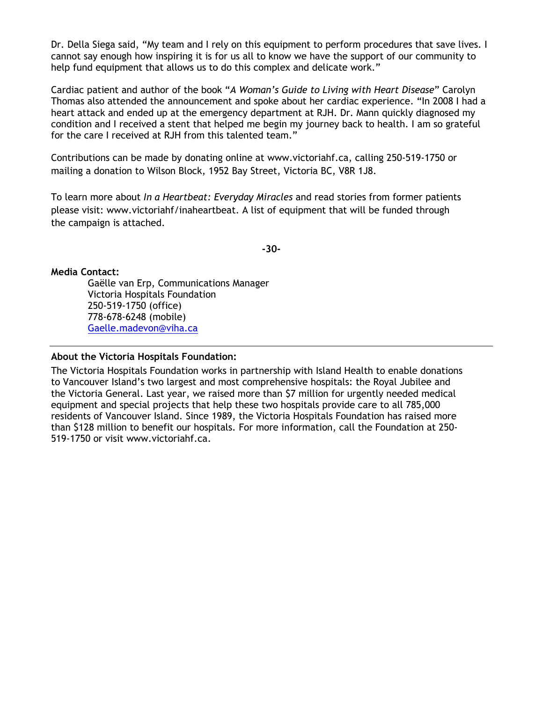Dr. Della Siega said, "My team and I rely on this equipment to perform procedures that save lives. I cannot say enough how inspiring it is for us all to know we have the support of our community to help fund equipment that allows us to do this complex and delicate work."

Cardiac patient and author of the book "*A Woman's Guide to Living with Heart Disease*" Carolyn Thomas also attended the announcement and spoke about her cardiac experience. "In 2008 I had a heart attack and ended up at the emergency department at RJH. Dr. Mann quickly diagnosed my condition and I received a stent that helped me begin my journey back to health. I am so grateful for the care I received at RJH from this talented team."

Contributions can be made by donating online at [www.victoriahf.ca,](http://www.victoriahf.ca/) calling 250-519-1750 or mailing a donation to Wilson Block, 1952 Bay Street, Victoria BC, V8R 1J8.

To learn more about *In a Heartbeat: Everyday Miracles* and read stories from former patients please visit: www.victoriahf/inaheartbeat. A list of equipment that will be funded through the campaign is attached.

**-30-**

### **Media Contact:**

Gaëlle van Erp, Communications Manager Victoria Hospitals Foundation 250-519-1750 (office) 778-678-6248 (mobile) [Gaelle.madevon@viha.ca](mailto:Gaelle.madevon@viha.ca)

#### **About the Victoria Hospitals Foundation:**

The Victoria Hospitals Foundation works in partnership with Island Health to enable donations to Vancouver Island's two largest and most comprehensive hospitals: the Royal Jubilee and the Victoria General. Last year, we raised more than \$7 million for urgently needed medical equipment and special projects that help these two hospitals provide care to all 785,000 residents of Vancouver Island. Since 1989, the Victoria Hospitals Foundation has raised more than \$128 million to benefit our hospitals. For more information, call the Foundation at 250- 519-1750 or visit [www.victoriahf.ca.](http://www.victoriahf.ca/)